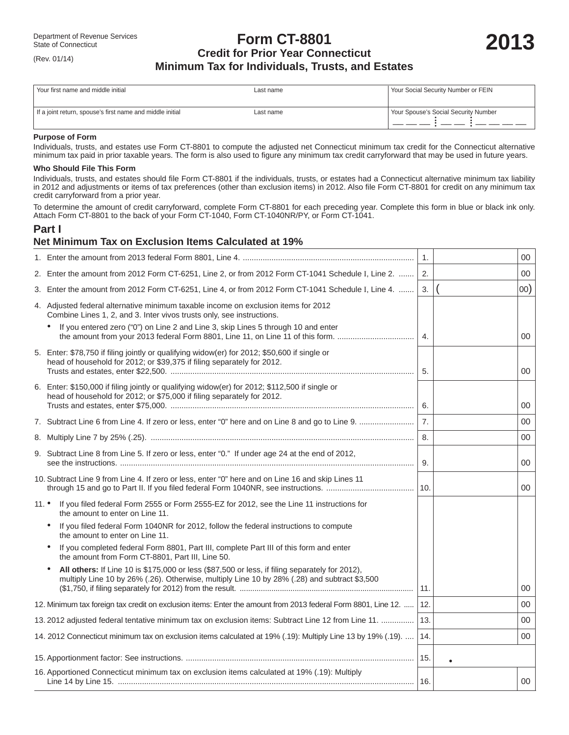## **Form CT-8801** Department of Revenue Services<br>
State of Connecticut<br> **2013 Credit for Prior Year Connecticut**<br>
2013 **Minimum Tax for Individuals, Trusts, and Estates**

| Your first name and middle initial                        | Last name | Your Social Security Number or FEIN  |
|-----------------------------------------------------------|-----------|--------------------------------------|
| If a joint return, spouse's first name and middle initial | Last name | Your Spouse's Social Security Number |

#### **Purpose of Form**

(Rev. 01/14)

Individuals, trusts, and estates use Form CT-8801 to compute the adjusted net Connecticut minimum tax credit for the Connecticut alternative minimum tax paid in prior taxable years. The form is also used to figure any minimum tax credit carryforward that may be used in future years.

#### **Who Should File This Form**

Individuals, trusts, and estates should file Form CT-8801 if the individuals, trusts, or estates had a Connecticut alternative minimum tax liability in 2012 and adjustments or items of tax preferences (other than exclusion items) in 2012. Also file Form CT-8801 for credit on any minimum tax credit carryforward from a prior year.

To determine the amount of credit carryforward, complete Form CT-8801 for each preceding year. Complete this form in blue or black ink only. Attach Form CT-8801 to the back of your Form CT-1040, Form CT-1040NR/PY, or Form CT-1041.

## **Part I**

## **Net Minimum Tax on Exclusion Items Calculated at 19%**

|                 |                                                                                                                                                                                                | $\mathbf{1}$ . | 00     |
|-----------------|------------------------------------------------------------------------------------------------------------------------------------------------------------------------------------------------|----------------|--------|
|                 | 2. Enter the amount from 2012 Form CT-6251, Line 2, or from 2012 Form CT-1041 Schedule I, Line 2.                                                                                              | 2.             | $00\,$ |
|                 | 3. Enter the amount from 2012 Form CT-6251, Line 4, or from 2012 Form CT-1041 Schedule I, Line 4.                                                                                              | 3.             | 00)    |
|                 | 4. Adjusted federal alternative minimum taxable income on exclusion items for 2012<br>Combine Lines 1, 2, and 3. Inter vivos trusts only, see instructions.                                    |                |        |
|                 | If you entered zero ("0") on Line 2 and Line 3, skip Lines 5 through 10 and enter<br>the amount from your 2013 federal Form 8801, Line 11, on Line 11 of this form.                            | $\mathbf{4}$ . | 00     |
|                 | 5. Enter: \$78,750 if filing jointly or qualifying widow(er) for 2012; \$50,600 if single or<br>head of household for 2012; or \$39,375 if filing separately for 2012.                         | 5.             | 00     |
|                 | 6. Enter: \$150,000 if filing jointly or qualifying widow(er) for 2012; \$112,500 if single or<br>head of household for 2012; or \$75,000 if filing separately for 2012.                       | 6.             | 00     |
|                 |                                                                                                                                                                                                | 7.             | $00\,$ |
|                 |                                                                                                                                                                                                | 8.             | 00     |
|                 | 9. Subtract Line 8 from Line 5. If zero or less, enter "0." If under age 24 at the end of 2012,                                                                                                | 9.             | 00     |
|                 | 10. Subtract Line 9 from Line 4. If zero or less, enter "0" here and on Line 16 and skip Lines 11                                                                                              |                | 00     |
| $11.$ $\bullet$ | If you filed federal Form 2555 or Form 2555-EZ for 2012, see the Line 11 instructions for<br>the amount to enter on Line 11.                                                                   |                |        |
|                 | If you filed federal Form 1040NR for 2012, follow the federal instructions to compute<br>the amount to enter on Line 11.                                                                       |                |        |
|                 | If you completed federal Form 8801, Part III, complete Part III of this form and enter<br>the amount from Form CT-8801, Part III, Line 50.                                                     |                |        |
|                 | All others: If Line 10 is \$175,000 or less (\$87,500 or less, if filing separately for 2012),<br>multiply Line 10 by 26% (.26). Otherwise, multiply Line 10 by 28% (.28) and subtract \$3,500 | 11.            | 00     |
|                 | 12. Minimum tax foreign tax credit on exclusion items: Enter the amount from 2013 federal Form 8801, Line 12.                                                                                  | 12.            | 00     |
|                 | 13. 2012 adjusted federal tentative minimum tax on exclusion items: Subtract Line 12 from Line 11.                                                                                             | 13.            | 00     |
|                 | 14. 2012 Connecticut minimum tax on exclusion items calculated at 19% (.19): Multiply Line 13 by 19% (.19).                                                                                    | 14.            | 00     |
|                 |                                                                                                                                                                                                | 15.            |        |
|                 | 16. Apportioned Connecticut minimum tax on exclusion items calculated at 19% (.19): Multiply                                                                                                   | 16.            | $00\,$ |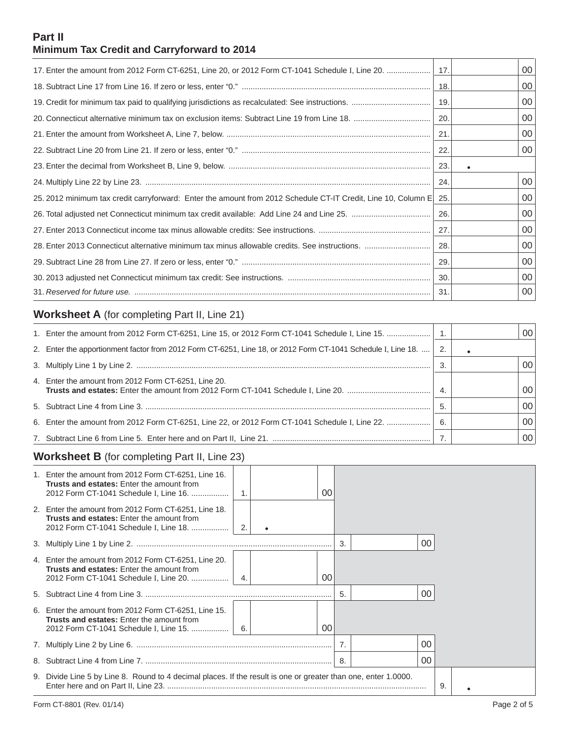## **Part II Minimum Tax Credit and Carryforward to 2014**

| 17. Enter the amount from 2012 Form CT-6251, Line 20, or 2012 Form CT-1041 Schedule I, Line 20.                | 17.  | 00 |
|----------------------------------------------------------------------------------------------------------------|------|----|
|                                                                                                                | 18.  | 00 |
|                                                                                                                | 19.  | 00 |
|                                                                                                                | 20   | 00 |
|                                                                                                                | 21.  | 00 |
|                                                                                                                | 22.  | 00 |
|                                                                                                                | -23. |    |
|                                                                                                                | 24.  | 00 |
| 25. 2012 minimum tax credit carryforward: Enter the amount from 2012 Schedule CT-IT Credit, Line 10, Column E. | 25.  | 00 |
|                                                                                                                | 26.  | 00 |
|                                                                                                                | 27.  | 00 |
|                                                                                                                | -28. | 00 |
|                                                                                                                | 29.  | 00 |
|                                                                                                                | 30.  | 00 |
|                                                                                                                | 31.  | 00 |

# **Worksheet A** (for completing Part II, Line 21)

| 1. Enter the amount from 2012 Form CT-6251, Line 15, or 2012 Form CT-1041 Schedule I, Line 15.   1.          |      | 00 |
|--------------------------------------------------------------------------------------------------------------|------|----|
| 2. Enter the apportionment factor from 2012 Form CT-6251, Line 18, or 2012 Form CT-1041 Schedule I, Line 18. | 2.   |    |
|                                                                                                              |      | 00 |
| 4. Enter the amount from 2012 Form CT-6251, Line 20.                                                         |      | 00 |
|                                                                                                              |      | 00 |
| 6. Enter the amount from 2012 Form CT-6251, Line 22, or 2012 Form CT-1041 Schedule I, Line 22.               | - 6. | 00 |
|                                                                                                              |      | 00 |

# **Worksheet B** (for completing Part II, Line 23)

| 1. Enter the amount from 2012 Form CT-6251, Line 16.<br><b>Trusts and estates:</b> Enter the amount from<br>2012 Form CT-1041 Schedule I, Line 16. |                  | ΩO |    |    |    |  |  |
|----------------------------------------------------------------------------------------------------------------------------------------------------|------------------|----|----|----|----|--|--|
| 2. Enter the amount from 2012 Form CT-6251, Line 18.<br><b>Trusts and estates:</b> Enter the amount from<br>2012 Form CT-1041 Schedule I, Line 18. | 2.               |    |    |    |    |  |  |
|                                                                                                                                                    |                  |    | 3. | 00 |    |  |  |
| 4. Enter the amount from 2012 Form CT-6251, Line 20.<br><b>Trusts and estates:</b> Enter the amount from<br>2012 Form CT-1041 Schedule I, Line 20. | $\overline{4}$ . | 00 |    |    |    |  |  |
|                                                                                                                                                    |                  |    | 5. | 00 |    |  |  |
| 6. Enter the amount from 2012 Form CT-6251, Line 15.<br><b>Trusts and estates:</b> Enter the amount from<br>2012 Form CT-1041 Schedule I, Line 15. | 6.               | 00 |    |    |    |  |  |
|                                                                                                                                                    |                  |    |    | 00 |    |  |  |
|                                                                                                                                                    |                  |    | 8. | 00 |    |  |  |
| 9. Divide Line 5 by Line 8. Round to 4 decimal places. If the result is one or greater than one, enter 1.0000.                                     |                  |    |    |    | 9. |  |  |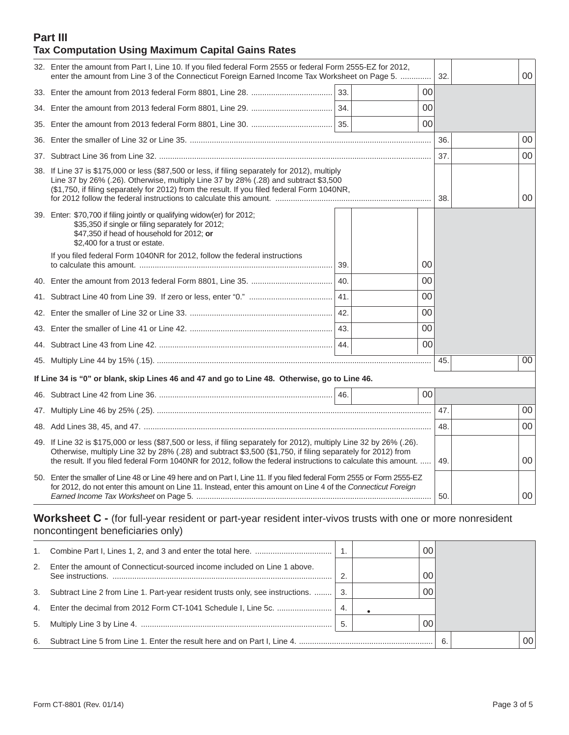## **Part III Tax Computation Using Maximum Capital Gains Rates**

| 32. Enter the amount from Part I, Line 10. If you filed federal Form 2555 or federal Form 2555-EZ for 2012,<br>enter the amount from Line 3 of the Connecticut Foreign Earned Income Tax Worksheet on Page 5.                                                                                                                                            |     |        | 32. | 00 |
|----------------------------------------------------------------------------------------------------------------------------------------------------------------------------------------------------------------------------------------------------------------------------------------------------------------------------------------------------------|-----|--------|-----|----|
|                                                                                                                                                                                                                                                                                                                                                          | 33. | 00     |     |    |
|                                                                                                                                                                                                                                                                                                                                                          |     | 00     |     |    |
|                                                                                                                                                                                                                                                                                                                                                          |     | 00     |     |    |
|                                                                                                                                                                                                                                                                                                                                                          |     |        | 36. | 00 |
|                                                                                                                                                                                                                                                                                                                                                          |     |        | 37. | 00 |
| 38. If Line 37 is \$175,000 or less (\$87,500 or less, if filing separately for 2012), multiply<br>Line 37 by 26% (.26). Otherwise, multiply Line 37 by 28% (.28) and subtract \$3,500<br>(\$1,750, if filing separately for 2012) from the result. If you filed federal Form 1040NR,                                                                    |     |        | 38. | 00 |
| 39. Enter: \$70,700 if filing jointly or qualifying widow(er) for 2012;<br>\$35,350 if single or filing separately for 2012;<br>\$47,350 if head of household for 2012; or<br>\$2,400 for a trust or estate.                                                                                                                                             |     |        |     |    |
| If you filed federal Form 1040NR for 2012, follow the federal instructions                                                                                                                                                                                                                                                                               | 39. | 00     |     |    |
|                                                                                                                                                                                                                                                                                                                                                          | 40. | 00     |     |    |
|                                                                                                                                                                                                                                                                                                                                                          | 41. | 00     |     |    |
|                                                                                                                                                                                                                                                                                                                                                          | 42. | 00     |     |    |
|                                                                                                                                                                                                                                                                                                                                                          |     | 00     |     |    |
|                                                                                                                                                                                                                                                                                                                                                          |     | $00\,$ |     |    |
|                                                                                                                                                                                                                                                                                                                                                          |     |        | 45. | 00 |
| If Line 34 is "0" or blank, skip Lines 46 and 47 and go to Line 48. Otherwise, go to Line 46.                                                                                                                                                                                                                                                            |     |        |     |    |
|                                                                                                                                                                                                                                                                                                                                                          |     | $00\,$ |     |    |
|                                                                                                                                                                                                                                                                                                                                                          |     |        | 47. | 00 |
|                                                                                                                                                                                                                                                                                                                                                          |     |        | 48. | 00 |
| 49. If Line 32 is \$175,000 or less (\$87,500 or less, if filing separately for 2012), multiply Line 32 by 26% (.26).<br>Otherwise, multiply Line 32 by 28% (.28) and subtract \$3,500 (\$1,750, if filing separately for 2012) from<br>the result. If you filed federal Form 1040NR for 2012, follow the federal instructions to calculate this amount. |     |        | 49. | 00 |
| 50. Enter the smaller of Line 48 or Line 49 here and on Part I, Line 11. If you filed federal Form 2555 or Form 2555-EZ<br>for 2012, do not enter this amount on Line 11. Instead, enter this amount on Line 4 of the Connecticut Foreign                                                                                                                |     |        | 50. | 00 |
| Worksheet C - (for full-year resident or part-year resident inter-vivos trusts with one or more nonresident                                                                                                                                                                                                                                              |     |        |     |    |

noncontingent beneficiaries only)

|    |                                                                                       |    | 00 |    |    |
|----|---------------------------------------------------------------------------------------|----|----|----|----|
| 2. | Enter the amount of Connecticut-sourced income included on Line 1 above.              | ◠  | 00 |    |    |
|    | 3. Subtract Line 2 from Line 1. Part-year resident trusts only, see instructions.  3. |    | 00 |    |    |
|    |                                                                                       | 4. |    |    |    |
|    |                                                                                       | 5. | 00 |    |    |
|    |                                                                                       |    |    | 6. | 00 |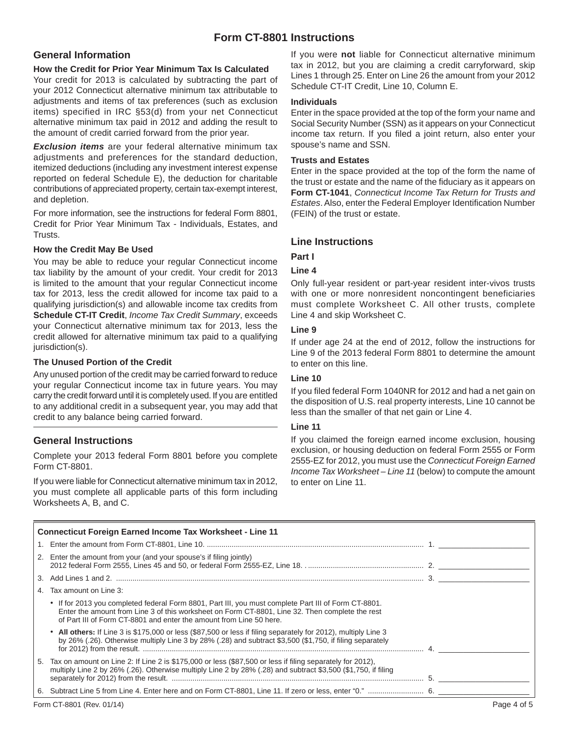## **Form CT-8801 Instructions**

## **General Information**

### **How the Credit for Prior Year Minimum Tax Is Calculated**

Your credit for 2013 is calculated by subtracting the part of your 2012 Connecticut alternative minimum tax attributable to adjustments and items of tax preferences (such as exclusion items) specified in IRC §53(d) from your net Connecticut alternative minimum tax paid in 2012 and adding the result to the amount of credit carried forward from the prior year.

*Exclusion items* are your federal alternative minimum tax adjustments and preferences for the standard deduction, itemized deductions (including any investment interest expense reported on federal Schedule E), the deduction for charitable contributions of appreciated property, certain tax-exempt interest, and depletion.

For more information, see the instructions for federal Form 8801, Credit for Prior Year Minimum Tax - Individuals, Estates, and Trusts.

## **How the Credit May Be Used**

You may be able to reduce your regular Connecticut income tax liability by the amount of your credit. Your credit for 2013 is limited to the amount that your regular Connecticut income tax for 2013, less the credit allowed for income tax paid to a qualifying jurisdiction(s) and allowable income tax credits from **Schedule CT-IT Credit**, *Income Tax Credit Summary*, exceeds your Connecticut alternative minimum tax for 2013, less the credit allowed for alternative minimum tax paid to a qualifying jurisdiction(s).

## **The Unused Portion of the Credit**

Any unused portion of the credit may be carried forward to reduce your regular Connecticut income tax in future years. You may carry the credit forward until it is completely used. If you are entitled to any additional credit in a subsequent year, you may add that credit to any balance being carried forward.

## **General Instructions**

Complete your 2013 federal Form 8801 before you complete Form CT-8801.

If you were liable for Connecticut alternative minimum tax in 2012, you must complete all applicable parts of this form including Worksheets A, B, and C.

If you were **not** liable for Connecticut alternative minimum tax in 2012, but you are claiming a credit carryforward, skip Lines 1 through 25. Enter on Line 26 the amount from your 2012 Schedule CT-IT Credit, Line 10, Column E.

#### **Individuals**

Enter in the space provided at the top of the form your name and Social Security Number (SSN) as it appears on your Connecticut income tax return. If you filed a joint return, also enter your spouse's name and SSN.

#### **Trusts and Estates**

Enter in the space provided at the top of the form the name of the trust or estate and the name of the fiduciary as it appears on **Form CT-1041**, *Connecticut Income Tax Return for Trusts and Estates.* Also, enter the Federal Employer Identification Number (FEIN) of the trust or estate.

## **Line Instructions**

## **Part I**

#### **Line 4**

Only full-year resident or part-year resident inter-vivos trusts with one or more nonresident noncontingent beneficiaries must complete Worksheet C. All other trusts, complete Line 4 and skip Worksheet C.

#### **Line 9**

If under age 24 at the end of 2012, follow the instructions for Line 9 of the 2013 federal Form 8801 to determine the amount to enter on this line.

## **Line 10**

If you filed federal Form 1040NR for 2012 and had a net gain on the disposition of U.S. real property interests, Line 10 cannot be less than the smaller of that net gain or Line 4.

## **Line 11**

If you claimed the foreign earned income exclusion, housing exclusion, or housing deduction on federal Form 2555 or Form 2555-EZ for 2012, you must use the *Connecticut Foreign Earned Income Tax Worksheet – Line 11* (below) to compute the amount to enter on Line 11.

|    | <b>Connecticut Foreign Earned Income Tax Worksheet - Line 11</b>                                                                                                                                                                                                               |  |
|----|--------------------------------------------------------------------------------------------------------------------------------------------------------------------------------------------------------------------------------------------------------------------------------|--|
|    |                                                                                                                                                                                                                                                                                |  |
|    | 2. Enter the amount from your (and your spouse's if filing jointly)                                                                                                                                                                                                            |  |
|    |                                                                                                                                                                                                                                                                                |  |
| 4. | Tax amount on Line 3:                                                                                                                                                                                                                                                          |  |
|    | • If for 2013 you completed federal Form 8801, Part III, you must complete Part III of Form CT-8801.<br>Enter the amount from Line 3 of this worksheet on Form CT-8801, Line 32. Then complete the rest<br>of Part III of Form CT-8801 and enter the amount from Line 50 here. |  |
|    | • All others: If Line 3 is \$175,000 or less (\$87,500 or less if filing separately for 2012), multiply Line 3<br>by 26% (.26). Otherwise multiply Line 3 by 28% (.28) and subtract \$3,500 (\$1,750, if filing separately                                                     |  |
|    | 5. Tax on amount on Line 2: If Line 2 is \$175,000 or less (\$87,500 or less if filing separately for 2012).<br>multiply Line 2 by 26% (.26). Otherwise multiply Line 2 by 28% (.28) and subtract \$3,500 (\$1,750, if filing                                                  |  |
|    |                                                                                                                                                                                                                                                                                |  |